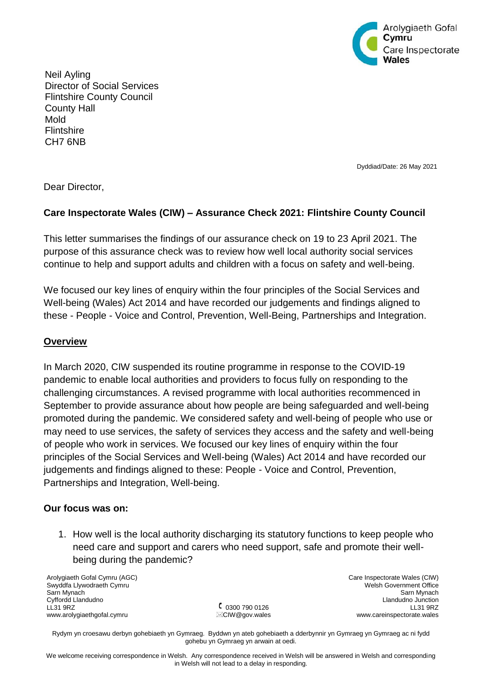

Neil Ayling Director of Social Services Flintshire County Council County Hall Mold **Flintshire** CH7 6NB

Dyddiad/Date: 26 May 2021

Dear Director,

# **Care Inspectorate Wales (CIW) – Assurance Check 2021: Flintshire County Council**

This letter summarises the findings of our assurance check on 19 to 23 April 2021. The purpose of this assurance check was to review how well local authority social services continue to help and support adults and children with a focus on safety and well-being.

We focused our key lines of enquiry within the four principles of the Social Services and Well-being (Wales) Act 2014 and have recorded our judgements and findings aligned to these - People - Voice and Control, Prevention, Well-Being, Partnerships and Integration.

### **Overview**

In March 2020, CIW suspended its routine programme in response to the COVID-19 pandemic to enable local authorities and providers to focus fully on responding to the challenging circumstances. A revised programme with local authorities recommenced in September to provide assurance about how people are being safeguarded and well-being promoted during the pandemic. We considered safety and well-being of people who use or may need to use services, the safety of services they access and the safety and well-being of people who work in services. We focused our key lines of enquiry within the four principles of the Social Services and Well-being (Wales) Act 2014 and have recorded our judgements and findings aligned to these: People - Voice and Control, Prevention, Partnerships and Integration, Well-being.

### **Our focus was on:**

1. How well is the local authority discharging its statutory functions to keep people who need care and support and carers who need support, safe and promote their wellbeing during the pandemic?

Arolygiaeth Gofal Cymru (AGC) Swyddfa Llywodraeth Cymru Sarn Mynach Cyffordd Llandudno LL31 9RZ www.arolygiaethgofal.cymru

0300 790 0126 **ECIW@gov.wales**  Care Inspectorate Wales (CIW) Welsh Government Office Sarn Mynach Llandudno Junction LL31 9RZ www.careinspectorate.wales

Rydym yn croesawu derbyn gohebiaeth yn Gymraeg. Byddwn yn ateb gohebiaeth a dderbynnir yn Gymraeg yn Gymraeg ac ni fydd gohebu yn Gymraeg yn arwain at oedi.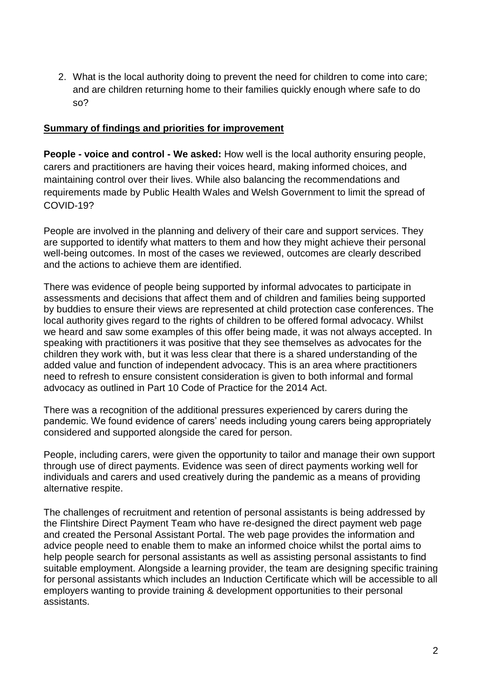2. What is the local authority doing to prevent the need for children to come into care; and are children returning home to their families quickly enough where safe to do so?

## **Summary of findings and priorities for improvement**

**People - voice and control - We asked:** How well is the local authority ensuring people, carers and practitioners are having their voices heard, making informed choices, and maintaining control over their lives. While also balancing the recommendations and requirements made by Public Health Wales and Welsh Government to limit the spread of COVID-19?

People are involved in the planning and delivery of their care and support services. They are supported to identify what matters to them and how they might achieve their personal well-being outcomes. In most of the cases we reviewed, outcomes are clearly described and the actions to achieve them are identified.

There was evidence of people being supported by informal advocates to participate in assessments and decisions that affect them and of children and families being supported by buddies to ensure their views are represented at child protection case conferences. The local authority gives regard to the rights of children to be offered formal advocacy. Whilst we heard and saw some examples of this offer being made, it was not always accepted. In speaking with practitioners it was positive that they see themselves as advocates for the children they work with, but it was less clear that there is a shared understanding of the added value and function of independent advocacy. This is an area where practitioners need to refresh to ensure consistent consideration is given to both informal and formal advocacy as outlined in Part 10 Code of Practice for the 2014 Act.

There was a recognition of the additional pressures experienced by carers during the pandemic. We found evidence of carers' needs including young carers being appropriately considered and supported alongside the cared for person.

People, including carers, were given the opportunity to tailor and manage their own support through use of direct payments. Evidence was seen of direct payments working well for individuals and carers and used creatively during the pandemic as a means of providing alternative respite.

The challenges of recruitment and retention of personal assistants is being addressed by the Flintshire Direct Payment Team who have re-designed the direct payment web page and created the Personal Assistant Portal. The web page provides the information and advice people need to enable them to make an informed choice whilst the portal aims to help people search for personal assistants as well as assisting personal assistants to find suitable employment. Alongside a learning provider, the team are designing specific training for personal assistants which includes an Induction Certificate which will be accessible to all employers wanting to provide training & development opportunities to their personal assistants.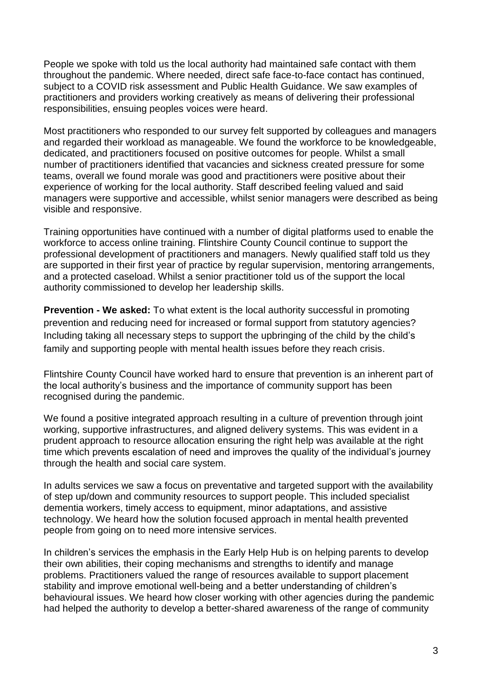People we spoke with told us the local authority had maintained safe contact with them throughout the pandemic. Where needed, direct safe face-to-face contact has continued, subject to a COVID risk assessment and Public Health Guidance. We saw examples of practitioners and providers working creatively as means of delivering their professional responsibilities, ensuing peoples voices were heard.

Most practitioners who responded to our survey felt supported by colleagues and managers and regarded their workload as manageable. We found the workforce to be knowledgeable, dedicated, and practitioners focused on positive outcomes for people. Whilst a small number of practitioners identified that vacancies and sickness created pressure for some teams, overall we found morale was good and practitioners were positive about their experience of working for the local authority. Staff described feeling valued and said managers were supportive and accessible, whilst senior managers were described as being visible and responsive.

Training opportunities have continued with a number of digital platforms used to enable the workforce to access online training. Flintshire County Council continue to support the professional development of practitioners and managers. Newly qualified staff told us they are supported in their first year of practice by regular supervision, mentoring arrangements, and a protected caseload. Whilst a senior practitioner told us of the support the local authority commissioned to develop her leadership skills.

**Prevention - We asked:** To what extent is the local authority successful in promoting prevention and reducing need for increased or formal support from statutory agencies? Including taking all necessary steps to support the upbringing of the child by the child's family and supporting people with mental health issues before they reach crisis.

Flintshire County Council have worked hard to ensure that prevention is an inherent part of the local authority's business and the importance of community support has been recognised during the pandemic.

We found a positive integrated approach resulting in a culture of prevention through joint working, supportive infrastructures, and aligned delivery systems. This was evident in a prudent approach to resource allocation ensuring the right help was available at the right time which prevents escalation of need and improves the quality of the individual's journey through the health and social care system.

In adults services we saw a focus on preventative and targeted support with the availability of step up/down and community resources to support people. This included specialist dementia workers, timely access to equipment, minor adaptations, and assistive technology. We heard how the solution focused approach in mental health prevented people from going on to need more intensive services.

In children's services the emphasis in the Early Help Hub is on helping parents to develop their own abilities, their coping mechanisms and strengths to identify and manage problems. Practitioners valued the range of resources available to support placement stability and improve emotional well-being and a better understanding of children's behavioural issues. We heard how closer working with other agencies during the pandemic had helped the authority to develop a better-shared awareness of the range of community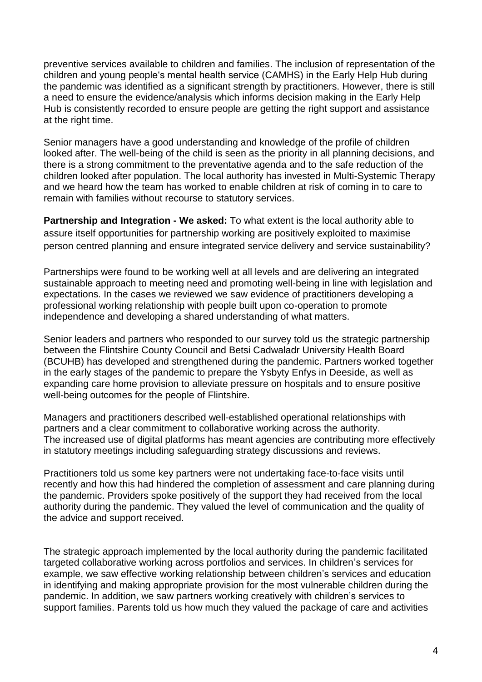preventive services available to children and families. The inclusion of representation of the children and young people's mental health service (CAMHS) in the Early Help Hub during the pandemic was identified as a significant strength by practitioners. However, there is still a need to ensure the evidence/analysis which informs decision making in the Early Help Hub is consistently recorded to ensure people are getting the right support and assistance at the right time.

Senior managers have a good understanding and knowledge of the profile of children looked after. The well-being of the child is seen as the priority in all planning decisions, and there is a strong commitment to the preventative agenda and to the safe reduction of the children looked after population. The local authority has invested in Multi-Systemic Therapy and we heard how the team has worked to enable children at risk of coming in to care to remain with families without recourse to statutory services.

**Partnership and Integration - We asked:** To what extent is the local authority able to assure itself opportunities for partnership working are positively exploited to maximise person centred planning and ensure integrated service delivery and service sustainability?

Partnerships were found to be working well at all levels and are delivering an integrated sustainable approach to meeting need and promoting well-being in line with legislation and expectations. In the cases we reviewed we saw evidence of practitioners developing a professional working relationship with people built upon co-operation to promote independence and developing a shared understanding of what matters.

Senior leaders and partners who responded to our survey told us the strategic partnership between the Flintshire County Council and Betsi Cadwaladr University Health Board (BCUHB) has developed and strengthened during the pandemic. Partners worked together in the early stages of the pandemic to prepare the Ysbyty Enfys in Deeside, as well as expanding care home provision to alleviate pressure on hospitals and to ensure positive well-being outcomes for the people of Flintshire.

Managers and practitioners described well-established operational relationships with partners and a clear commitment to collaborative working across the authority. The increased use of digital platforms has meant agencies are contributing more effectively in statutory meetings including safeguarding strategy discussions and reviews.

Practitioners told us some key partners were not undertaking face-to-face visits until recently and how this had hindered the completion of assessment and care planning during the pandemic. Providers spoke positively of the support they had received from the local authority during the pandemic. They valued the level of communication and the quality of the advice and support received.

The strategic approach implemented by the local authority during the pandemic facilitated targeted collaborative working across portfolios and services. In children's services for example, we saw effective working relationship between children's services and education in identifying and making appropriate provision for the most vulnerable children during the pandemic. In addition, we saw partners working creatively with children's services to support families. Parents told us how much they valued the package of care and activities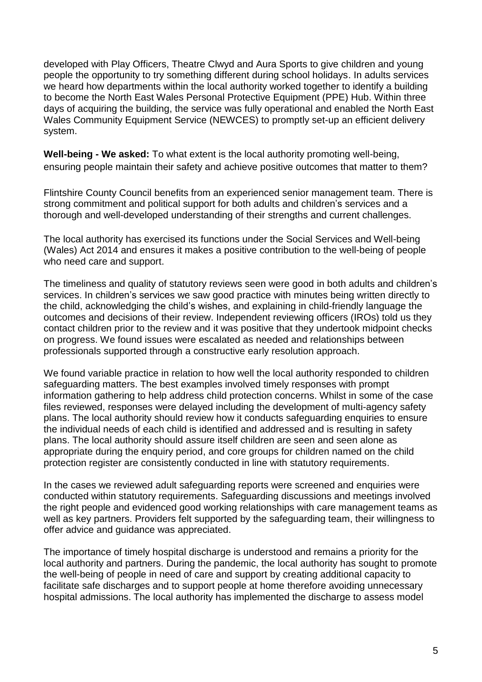developed with Play Officers, Theatre Clwyd and Aura Sports to give children and young people the opportunity to try something different during school holidays. In adults services we heard how departments within the local authority worked together to identify a building to become the North East Wales Personal Protective Equipment (PPE) Hub. Within three days of acquiring the building, the service was fully operational and enabled the North East Wales Community Equipment Service (NEWCES) to promptly set-up an efficient delivery system.

**Well-being - We asked:** To what extent is the local authority promoting well-being, ensuring people maintain their safety and achieve positive outcomes that matter to them?

Flintshire County Council benefits from an experienced senior management team. There is strong commitment and political support for both adults and children's services and a thorough and well-developed understanding of their strengths and current challenges.

The local authority has exercised its functions under the Social Services and Well-being (Wales) Act 2014 and ensures it makes a positive contribution to the well-being of people who need care and support.

The timeliness and quality of statutory reviews seen were good in both adults and children's services. In children's services we saw good practice with minutes being written directly to the child, acknowledging the child's wishes, and explaining in child-friendly language the outcomes and decisions of their review. Independent reviewing officers (IROs) told us they contact children prior to the review and it was positive that they undertook midpoint checks on progress. We found issues were escalated as needed and relationships between professionals supported through a constructive early resolution approach.

We found variable practice in relation to how well the local authority responded to children safeguarding matters. The best examples involved timely responses with prompt information gathering to help address child protection concerns. Whilst in some of the case files reviewed, responses were delayed including the development of multi-agency safety plans. The local authority should review how it conducts safeguarding enquiries to ensure the individual needs of each child is identified and addressed and is resulting in safety plans. The local authority should assure itself children are seen and seen alone as appropriate during the enquiry period, and core groups for children named on the child protection register are consistently conducted in line with statutory requirements.

In the cases we reviewed adult safeguarding reports were screened and enquiries were conducted within statutory requirements. Safeguarding discussions and meetings involved the right people and evidenced good working relationships with care management teams as well as key partners. Providers felt supported by the safeguarding team, their willingness to offer advice and guidance was appreciated.

The importance of timely hospital discharge is understood and remains a priority for the local authority and partners. During the pandemic, the local authority has sought to promote the well-being of people in need of care and support by creating additional capacity to facilitate safe discharges and to support people at home therefore avoiding unnecessary hospital admissions. The local authority has implemented the discharge to assess model